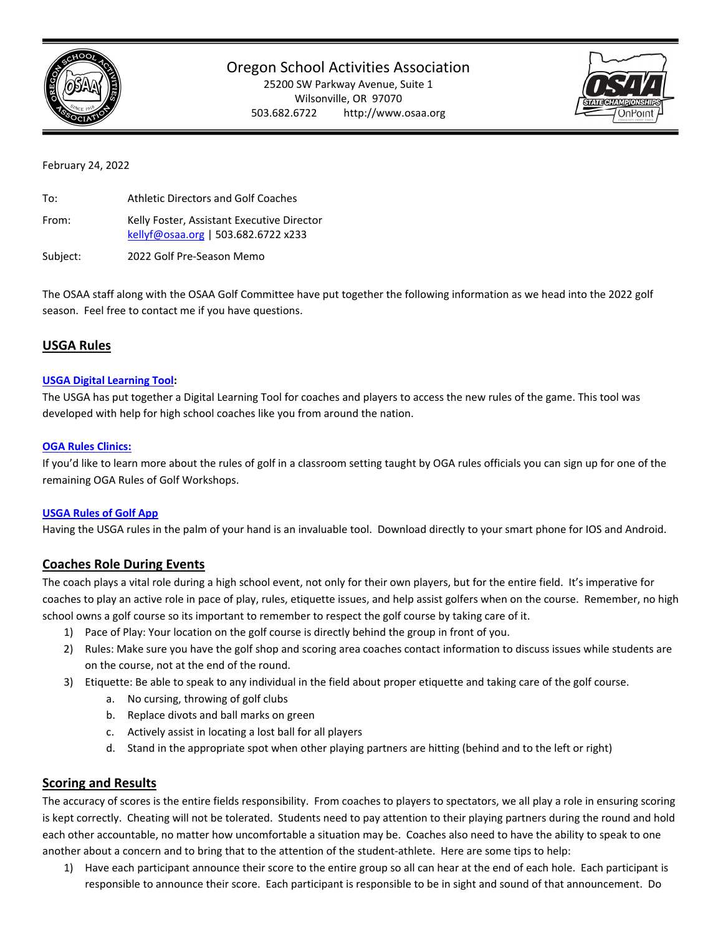

# Oregon School Activities Association

25200 SW Parkway Avenue, Suite 1 Wilsonville, OR 97070 503.682.6722 http://www.osaa.org



### February 24, 2022

| To:   | <b>Athletic Directors and Golf Coaches</b>                                        |
|-------|-----------------------------------------------------------------------------------|
| From: | Kelly Foster, Assistant Executive Director<br>kellyf@osaa.org   503.682.6722 x233 |
|       |                                                                                   |

Subject: 2022 Golf Pre‐Season Memo

The OSAA staff along with the OSAA Golf Committee have put together the following information as we head into the 2022 golf season. Feel free to contact me if you have questions.

## **USGA Rules**

### **USGA Digital Learning Tool:**

The USGA has put together a Digital Learning Tool for coaches and players to access the new rules of the game. This tool was developed with help for high school coaches like you from around the nation.

### **OGA Rules Clinics:**

If you'd like to learn more about the rules of golf in a classroom setting taught by OGA rules officials you can sign up for one of the remaining OGA Rules of Golf Workshops.

### **USGA Rules of Golf App**

Having the USGA rules in the palm of your hand is an invaluable tool. Download directly to your smart phone for IOS and Android.

# **Coaches Role During Events**

The coach plays a vital role during a high school event, not only for their own players, but for the entire field. It's imperative for coaches to play an active role in pace of play, rules, etiquette issues, and help assist golfers when on the course. Remember, no high school owns a golf course so its important to remember to respect the golf course by taking care of it.

- 1) Pace of Play: Your location on the golf course is directly behind the group in front of you.
- 2) Rules: Make sure you have the golf shop and scoring area coaches contact information to discuss issues while students are on the course, not at the end of the round.
- 3) Etiquette: Be able to speak to any individual in the field about proper etiquette and taking care of the golf course.
	- a. No cursing, throwing of golf clubs
	- b. Replace divots and ball marks on green
	- c. Actively assist in locating a lost ball for all players
	- d. Stand in the appropriate spot when other playing partners are hitting (behind and to the left or right)

## **Scoring and Results**

The accuracy of scores is the entire fields responsibility. From coaches to players to spectators, we all play a role in ensuring scoring is kept correctly. Cheating will not be tolerated. Students need to pay attention to their playing partners during the round and hold each other accountable, no matter how uncomfortable a situation may be. Coaches also need to have the ability to speak to one another about a concern and to bring that to the attention of the student‐athlete. Here are some tips to help:

1) Have each participant announce their score to the entire group so all can hear at the end of each hole. Each participant is responsible to announce their score. Each participant is responsible to be in sight and sound of that announcement. Do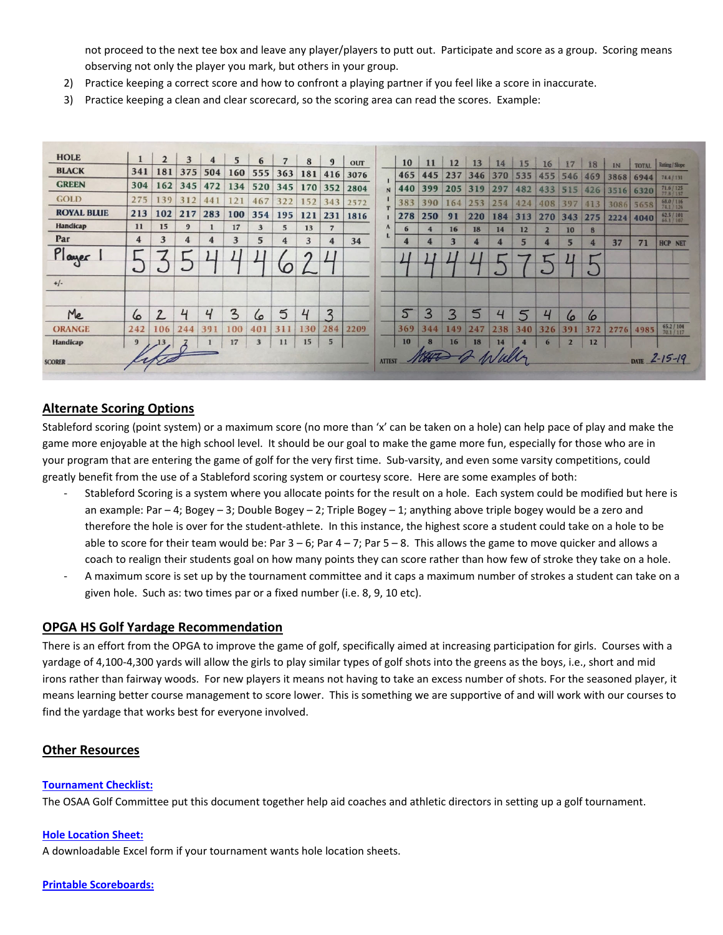not proceed to the next tee box and leave any player/players to putt out. Participate and score as a group. Scoring means observing not only the player you mark, but others in your group.

- 2) Practice keeping a correct score and how to confront a playing partner if you feel like a score in inaccurate.
- 3) Practice keeping a clean and clear scorecard, so the scoring area can read the scores. Example:

| <b>HOLE</b>       |        | $\overline{2}$ | 3              | 4   | 5            | 6                       |          | 8          | $\mathbf{9}$   |                    |               |     |          |                         |                               |     |                 |                        |                |            |      |              |                                        |
|-------------------|--------|----------------|----------------|-----|--------------|-------------------------|----------|------------|----------------|--------------------|---------------|-----|----------|-------------------------|-------------------------------|-----|-----------------|------------------------|----------------|------------|------|--------------|----------------------------------------|
| <b>BLACK</b>      | 341    | 181            | 375            | 504 | 160          | 555                     | 363      | 181        | 416            | <b>OUT</b><br>3076 |               | 10  | 11       | 12                      | 13<br>465 445 237 346 370 535 | 14  | 15              | 16                     | 17             | 18         | IN   | <b>TOTAL</b> | Rating / Slope                         |
| <b>GREEN</b>      | 304    | 162            | 345            | 472 | 134          | 520                     | 345      | 170        | 352            | 2804               | $\mathbf{N}$  | 440 |          | 399 205 319             |                               | 297 | 482             | 455 546 469<br>433 515 |                |            | 3868 | 6944         | 74.4 / 131                             |
| <b>GOLD</b>       | 275    | 139            | 312            | 441 | 121          | 467                     | 322      | 152        | 343            | 2572               |               | 383 | 390      | 164                     | 253                           | 254 | 424             | 408                    |                | 426        |      | 3516 6320    | $71.6 / 125$<br>$77.8 / 137$           |
| <b>ROYAL BLUE</b> | 213    | 102            | 217            | 283 | 100          | 354                     | 195      | 121        | 231            | 1816               |               | 278 | 250      | 91                      | 220                           | 184 | 313             |                        | 397<br>270 343 | 413<br>275 |      | 3086 5658    | 68.0 / 116<br>74.1 / 126<br>62.5 / 101 |
| Handicap          | 11     | 15             | 9              |     | 17           | 3                       | 5        | 13         | $\overline{7}$ |                    | $\mathbf{A}$  |     | 4        | 16                      | 18                            | 14  | 12              | $\overline{2}$         | 10             | 8          | 2224 | 4040         | 66.1 / 107                             |
| Par               | 4      | 3              | 4              | 4   | 3            | 5                       | 4        | 3          | 4              | 34                 | L             | 4   | 4        | $\overline{\mathbf{3}}$ | 4                             | 4   | $5\overline{ }$ |                        | $5\overline{}$ | 4          | 37   | 71           | <b>HCP NET</b>                         |
| Player            | $\sim$ |                |                |     |              |                         | $\Omega$ | $\sqrt{ }$ |                |                    |               |     |          |                         |                               |     |                 |                        |                |            |      |              |                                        |
| $+/-$             |        |                |                |     |              |                         |          |            |                |                    |               |     |          |                         |                               |     |                 |                        |                |            |      |              |                                        |
| Me                | 6      | $\overline{2}$ | 4              | 4   | $\mathbf{3}$ | 6                       | 5        | 4          | $\mathbf{z}$   |                    |               | 5   | 3        | 3                       | 5                             | 4   | 5               |                        | $\omega$       | $\omega$   |      |              |                                        |
| <b>ORANGE</b>     | 242    | 106            | 244            | 391 | 100          | 401                     | 311      | 130        | 284            | 2209               |               | 369 | 344      | 149                     | 247                           | 238 | 340             | 326                    | 391            | 372        | 2776 | 4985         | $\frac{65.27104}{70.17117}$            |
| Handicap          | 9      | 13             | $\overline{3}$ |     | 17           | $\overline{\mathbf{3}}$ | 11       | 15         |                |                    |               | 10  | $\bf{8}$ | 16                      | 18                            | 14  |                 | 6                      | $\overline{2}$ | 12         |      |              |                                        |
| <b>SCORER</b>     |        |                |                |     |              |                         |          |            |                |                    | <b>ATTEST</b> |     | THE      |                         |                               |     |                 |                        |                |            |      |              | DATE $2 - 15 - 19$                     |

# **Alternate Scoring Options**

Stableford scoring (point system) or a maximum score (no more than 'x' can be taken on a hole) can help pace of play and make the game more enjoyable at the high school level. It should be our goal to make the game more fun, especially for those who are in your program that are entering the game of golf for the very first time. Sub‐varsity, and even some varsity competitions, could greatly benefit from the use of a Stableford scoring system or courtesy score. Here are some examples of both:

- ‐ Stableford Scoring is a system where you allocate points for the result on a hole. Each system could be modified but here is an example: Par – 4; Bogey – 3; Double Bogey – 2; Triple Bogey – 1; anything above triple bogey would be a zero and therefore the hole is over for the student‐athlete. In this instance, the highest score a student could take on a hole to be able to score for their team would be: Par  $3 - 6$ ; Par  $4 - 7$ ; Par  $5 - 8$ . This allows the game to move quicker and allows a coach to realign their students goal on how many points they can score rather than how few of stroke they take on a hole.
- ‐ A maximum score is set up by the tournament committee and it caps a maximum number of strokes a student can take on a given hole. Such as: two times par or a fixed number (i.e. 8, 9, 10 etc).

## **OPGA HS Golf Yardage Recommendation**

There is an effort from the OPGA to improve the game of golf, specifically aimed at increasing participation for girls. Courses with a yardage of 4,100‐4,300 yards will allow the girls to play similar types of golf shots into the greens as the boys, i.e., short and mid irons rather than fairway woods. For new players it means not having to take an excess number of shots. For the seasoned player, it means learning better course management to score lower. This is something we are supportive of and will work with our courses to find the yardage that works best for everyone involved.

## **Other Resources**

### **Tournament Checklist:**

The OSAA Golf Committee put this document together help aid coaches and athletic directors in setting up a golf tournament.

### **Hole Location Sheet:**

A downloadable Excel form if your tournament wants hole location sheets.

### **Printable Scoreboards:**